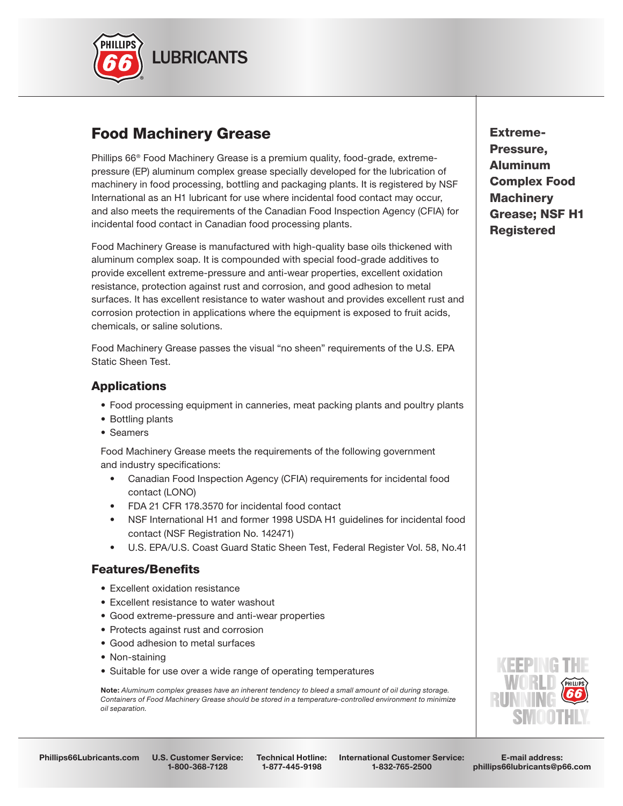

# Food Machinery Grease

Phillips 66® Food Machinery Grease is a premium quality, food-grade, extremepressure (EP) aluminum complex grease specially developed for the lubrication of machinery in food processing, bottling and packaging plants. It is registered by NSF International as an H1 lubricant for use where incidental food contact may occur, and also meets the requirements of the Canadian Food Inspection Agency (CFIA) for incidental food contact in Canadian food processing plants.

Food Machinery Grease is manufactured with high-quality base oils thickened with aluminum complex soap. It is compounded with special food-grade additives to provide excellent extreme-pressure and anti-wear properties, excellent oxidation resistance, protection against rust and corrosion, and good adhesion to metal surfaces. It has excellent resistance to water washout and provides excellent rust and corrosion protection in applications where the equipment is exposed to fruit acids, chemicals, or saline solutions.

Food Machinery Grease passes the visual "no sheen" requirements of the U.S. EPA Static Sheen Test.

### **Applications**

- Food processing equipment in canneries, meat packing plants and poultry plants
- Bottling plants
- Seamers

 Food Machinery Grease meets the requirements of the following government and industry specifications:

- Canadian Food Inspection Agency (CFIA) requirements for incidental food contact (LONO)
- FDA 21 CFR 178.3570 for incidental food contact
- NSF International H1 and former 1998 USDA H1 guidelines for incidental food contact (NSF Registration No. 142471)
- U.S. EPA/U.S. Coast Guard Static Sheen Test, Federal Register Vol. 58, No.41

#### **Features/Benefits**

- Excellent oxidation resistance
- Excellent resistance to water washout
- Good extreme-pressure and anti-wear properties
- Protects against rust and corrosion
- Good adhesion to metal surfaces
- Non-staining
- Suitable for use over a wide range of operating temperatures

 Note: *Aluminum complex greases have an inherent tendency to bleed a small amount of oil during storage. Containers of Food Machinery Grease should be stored in a temperature-controlled environment to minimize oil separation.*





1-800-368-7128

Technical Hotline: 1-877-445-9198

International Customer Service: 1-832-765-2500

E-mail address: phillips66lubricants@p66.com